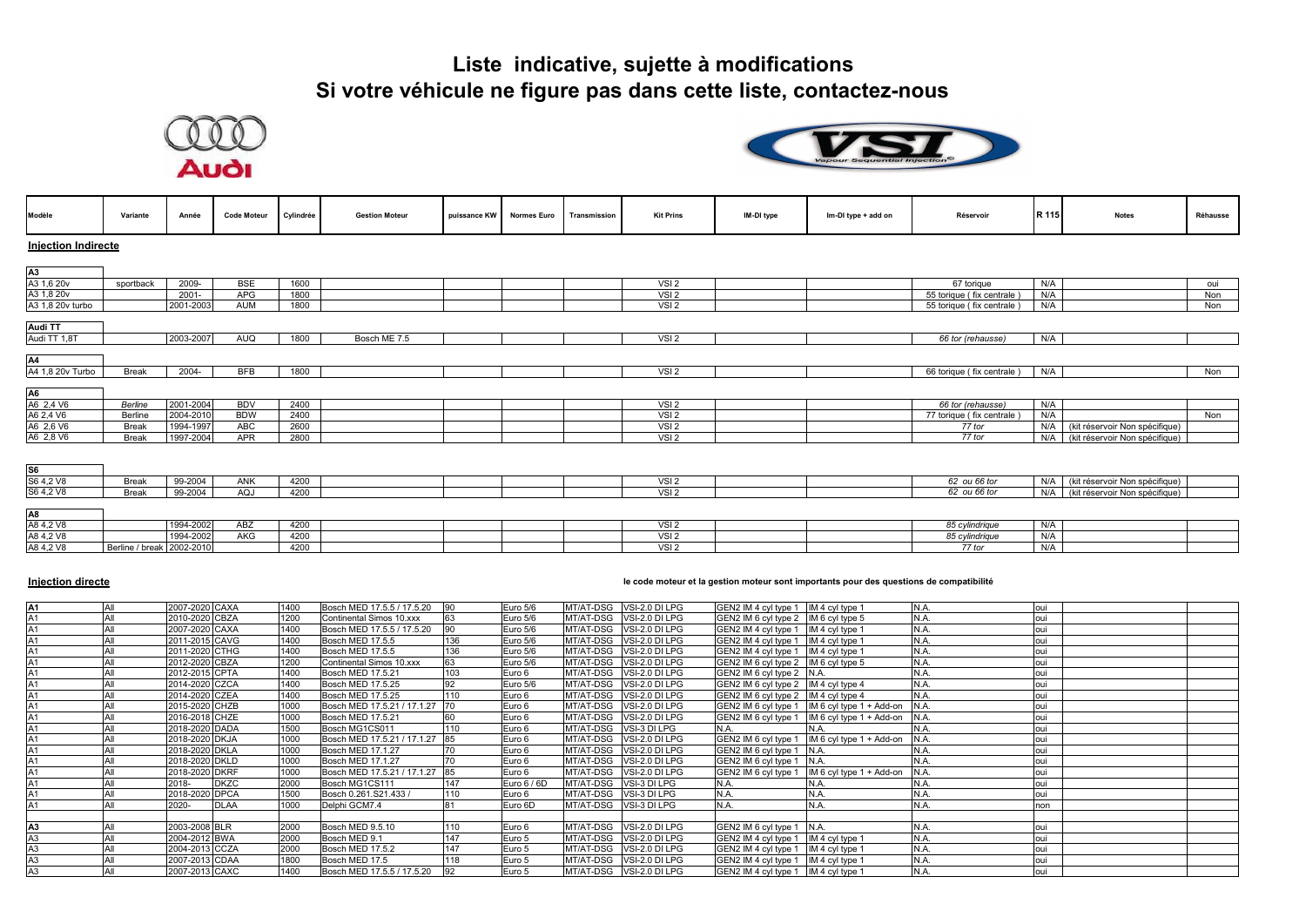



| Modèle                              | Variante                  | Année     | <b>Code Moteur</b> | Cylindrée | <b>Gestion Moteur</b> | puissance KW | <b>Normes Euro</b> | Transmission | <b>Kit Prins</b> | IM-DI type | Im-DI type + add on | Réservoir                 | R 115 | <b>Notes</b>                       | Réhausse |
|-------------------------------------|---------------------------|-----------|--------------------|-----------|-----------------------|--------------|--------------------|--------------|------------------|------------|---------------------|---------------------------|-------|------------------------------------|----------|
| <b>Injection Indirecte</b>          |                           |           |                    |           |                       |              |                    |              |                  |            |                     |                           |       |                                    |          |
|                                     |                           |           |                    |           |                       |              |                    |              |                  |            |                     |                           |       |                                    |          |
| A3<br>A3 1,6 20v                    |                           |           |                    |           |                       |              |                    |              |                  |            |                     |                           |       |                                    |          |
|                                     | sportback                 | 2009-     | <b>BSE</b>         | 1600      |                       |              |                    |              | VSI <sub>2</sub> |            |                     | 67 torique                | N/A   |                                    | oui      |
| A3 1,8 20v                          |                           | 2001-     | <b>APG</b>         | 1800      |                       |              |                    |              | VSI <sub>2</sub> |            |                     | 55 torique (fix centrale) | N/A   |                                    | Non      |
| A3 1,8 20v turbo                    |                           | 2001-2003 | <b>AUM</b>         | 1800      |                       |              |                    |              | VSI <sub>2</sub> |            |                     | 55 torique (fix centrale  | N/A   |                                    | Non      |
| <b>Audi TT</b>                      |                           |           |                    |           |                       |              |                    |              |                  |            |                     |                           |       |                                    |          |
| Audi TT 1,8T                        |                           | 2003-2007 | <b>AUQ</b>         | 1800      | Bosch ME 7.5          |              |                    |              | VSI <sub>2</sub> |            |                     | 66 tor (rehausse)         | N/A   |                                    |          |
|                                     |                           |           |                    |           |                       |              |                    |              |                  |            |                     |                           |       |                                    |          |
| A4                                  |                           |           |                    |           |                       |              |                    |              |                  |            |                     |                           |       |                                    |          |
| A4 1,8 20v Turbo                    | <b>Break</b>              | 2004-     | <b>BFB</b>         | 1800      |                       |              |                    |              | VSI <sub>2</sub> |            |                     | 66 torique (fix centrale) | N/A   |                                    | Non      |
|                                     |                           |           |                    |           |                       |              |                    |              |                  |            |                     |                           |       |                                    |          |
| A <sub>6</sub>                      | Berline                   | 2001-2004 | <b>BDV</b>         | 2400      |                       |              |                    |              | VSI2             |            |                     | 66 tor (rehausse)         | N/A   |                                    |          |
| A6 2,4 V6<br>A6 2,4 V6<br>A6 2,6 V6 | Berline                   | 2004-2010 | <b>BDW</b>         | 2400      |                       |              |                    |              | VSI <sub>2</sub> |            |                     | 77 torique (fix centrale) | N/A   |                                    | Non      |
|                                     | <b>Break</b>              | 1994-1997 | ABC                | 2600      |                       |              |                    |              | VSI <sub>2</sub> |            |                     | 77 tor                    | N/A   | (kit réservoir Non spécifique)     |          |
| A6 2,8 V6                           | <b>Break</b>              | 1997-2004 | <b>APR</b>         | 2800      |                       |              |                    |              | VSI2             |            |                     | 77 tor                    | N/A   | (kit réservoir Non spécifique)     |          |
|                                     |                           |           |                    |           |                       |              |                    |              |                  |            |                     |                           |       |                                    |          |
|                                     |                           |           |                    |           |                       |              |                    |              |                  |            |                     |                           |       |                                    |          |
| $\frac{\$6}{\$64,2\sqrt{8}}$        |                           |           |                    |           |                       |              |                    |              |                  |            |                     |                           |       |                                    |          |
|                                     | <b>Break</b>              | 99-2004   | ANK                | 4200      |                       |              |                    |              | VSI <sub>2</sub> |            |                     | 62 ou 66 tor              |       | N/A (kit réservoir Non spécifique) |          |
| S6 4,2 V8                           | <b>Break</b>              | 99-2004   | AQJ                | 4200      |                       |              |                    |              | VSI <sub>2</sub> |            |                     | 62 ou 66 tor              | N/A   | (kit réservoir Non spécifique)     |          |
|                                     |                           |           |                    |           |                       |              |                    |              |                  |            |                     |                           |       |                                    |          |
| A8<br>A8 4,2 V8<br>A8 4,2 V8        |                           | 1994-2002 | ABZ                | 4200      |                       |              |                    |              | VSI <sub>2</sub> |            |                     | 85 cylindrique            | N/A   |                                    |          |
|                                     |                           | 1994-2002 | AKG                | 4200      |                       |              |                    |              | VSI <sub>2</sub> |            |                     | 85 cylindrique            | N/A   |                                    |          |
| A8 4,2 V8                           | Berline / break 2002-2010 |           |                    | 4200      |                       |              |                    |              | VSI <sub>2</sub> |            |                     | 77 tor                    | N/A   |                                    |          |

#### **Injection directe le code moteur et la gestion moteur sont importants pour des questions de compatibilité**

| A1             | All | 2007-2020 CAXA       | 1400 | Bosch MED 17.5.5 / 17.5.20  | 90  | Euro 5/6    |           | MT/AT-DSG VSI-2.0 DI LPG | GEN2 IM 4 cyl type 1 IM 4 cyl type 1 |                                               | N.A. | oui |  |
|----------------|-----|----------------------|------|-----------------------------|-----|-------------|-----------|--------------------------|--------------------------------------|-----------------------------------------------|------|-----|--|
|                |     | 2010-2020 CBZA       | 1200 | Continental Simos 10.xxx    | 63  | Euro 5/6    |           | MT/AT-DSG VSI-2.0 DI LPG | GEN2 IM 6 cyl type 2 IM 6 cyl type 5 |                                               | N.A. |     |  |
|                |     | 2007-2020 CAXA       | 1400 | Bosch MED 17.5.5 / 17.5.20  | 90  | Euro 5/6    |           | MT/AT-DSG VSI-2.0 DI LPG | GEN2 IM 4 cyl type 1 IM 4 cyl type 1 |                                               | N.A. |     |  |
|                | All | 2011-2015 CAVG       | 1400 | Bosch MED 17.5.5            | 136 | Euro 5/6    |           | MT/AT-DSG VSI-2.0 DI LPG | GEN2 IM 4 cyl type 1 IM 4 cyl type 1 |                                               | N.A. |     |  |
|                | All | 2011-2020 CTHG       | 1400 | <b>Bosch MED 17.5.5</b>     | 136 | Euro 5/6    |           | MT/AT-DSG VSI-2.0 DI LPG | GEN2 IM 4 cyl type 1 IM 4 cyl type 1 |                                               | N.A. |     |  |
|                | All | 2012-2020 CBZA       | 1200 | Continental Simos 10.xxx    | 63  | Euro 5/6    |           | MT/AT-DSG VSI-2.0 DI LPG | GEN2 IM 6 cyl type 2 IM 6 cyl type 5 |                                               | N.A. |     |  |
|                | All | 2012-2015 CPTA       | 1400 | Bosch MED 17.5.21           | 103 | Euro 6      |           | MT/AT-DSG VSI-2.0 DI LPG | GEN2 IM 6 cyl type 2 N.A.            |                                               | N.A. |     |  |
|                |     | 2014-2020 CZCA       | 1400 | Bosch MED 17.5.25           | 92  | Euro 5/6    |           | MT/AT-DSG VSI-2.0 DI LPG | GEN2 IM 6 cyl type 2 IM 4 cyl type 4 |                                               | N.A. | oui |  |
|                |     | 2014-2020 CZEA       | 1400 | Bosch MED 17.5.25           | 110 | Euro 6      | MT/AT-DSG | VSI-2.0 DI LPG           | GEN2 IM 6 cyl type 2 IM 4 cyl type 4 |                                               | N.A. | oui |  |
|                |     | 2015-2020 CHZB       | 1000 | Bosch MED 17.5.21 / 17.1.27 | 170 | Euro 6      | MT/AT-DSG | VSI-2.0 DI LPG           |                                      | GEN2 IM 6 cyl type 1 IM 6 cyl type 1 + Add-on | N.A  |     |  |
|                |     | 2016-2018 CHZE       | 1000 | Bosch MED 17.5.21           | 60  | Euro 6      | MT/AT-DSG | VSI-2.0 DI LPG           | GEN2 IM 6 cyl type 1                 | IM 6 cyl type 1 + Add-on                      | N.A  |     |  |
|                |     | 2018-2020 DADA       | 1500 | Bosch MG1CS011              | 110 | Euro 6      | MT/AT-DSG | VSI-3 DI LPG             | N.A.                                 | N.A.                                          | N.A. |     |  |
|                |     | 2018-2020 DKJA       | 1000 | Bosch MED 17.5.21 / 17.1.27 | 85  | Euro 6      | MT/AT-DSG | VSI-2.0 DI LPG           | GEN2 IM 6 cyl type 1                 | IM 6 cyl type $1 +$ Add-on                    | N.A  |     |  |
| A1             |     | 2018-2020 DKLA       | 1000 | Bosch MED 17.1.27           | 70  | Euro 6      | MT/AT-DSG | VSI-2.0 DI LPG           | GEN2 IM 6 cyl type 1                 | N.A                                           | N.A. |     |  |
|                |     | 2018-2020 DKLD       | 1000 | Bosch MED 17.1.27           | 70  | Euro 6      | MT/AT-DSG | VSI-2.0 DI LPG           | GEN2 IM 6 cyl type 1                 | IN.A.                                         | N.A. |     |  |
|                | All | 2018-2020 DKRF       | 1000 | Bosch MED 17.5.21 / 17.1.27 | 85  | Euro 6      | MT/AT-DSG | VSI-2.0 DI LPG           | GEN2 IM 6 cyl type 1                 | IM 6 cyl type 1 + Add-on                      | N.A. |     |  |
|                |     | 2018-<br><b>DKZC</b> | 2000 | Bosch MG1CS111              | 147 | Euro 6 / 6D |           | MT/AT-DSG VSI-3 DI LPG   | N.A.                                 | N.A.                                          | N.A. |     |  |
|                |     | 2018-2020 DPCA       | 1500 | Bosch 0.261.S21.433 /       | 110 | Euro 6      |           | MT/AT-DSG VSI-3 DI LPG   | N.A.                                 | N.A.                                          | N.A. |     |  |
|                |     | 2020-<br><b>DLAA</b> | 1000 | Delphi GCM7.4               | 81  | Euro 6D     |           | MT/AT-DSG VSI-3 DI LPG   | N.A.                                 | N.A.                                          | N.A. | non |  |
|                |     |                      |      |                             |     |             |           |                          |                                      |                                               |      |     |  |
| A <sub>3</sub> |     | 2003-2008 BLR        | 2000 | Bosch MED 9.5.10            | 110 | Euro 6      |           | MT/AT-DSG VSI-2.0 DI LPG | GEN2 IM 6 cyl type 1 N.A.            |                                               | N.A. |     |  |
| A3             | All | 2004-2012 BWA        | 2000 | Bosch MED 9.1               | 147 | Euro 5      |           | MT/AT-DSG VSI-2.0 DI LPG | GEN2 IM 4 cyl type 1 IM 4 cyl type 1 |                                               | N.A. |     |  |
| A3             | All | 2004-2013 CCZA       | 2000 | Bosch MED 17.5.2            | 147 | Euro 5      |           | MT/AT-DSG VSI-2.0 DI LPG | GEN2 IM 4 cyl type 1 IM 4 cyl type 1 |                                               | N.A. |     |  |
| A <sub>3</sub> |     | 2007-2013 CDAA       | 1800 | Bosch MED 17.5              | 118 | Euro 5      | MT/AT-DSG | VSI-2.0 DI LPG           | GEN2 IM 4 cyl type 1                 | IM 4 cyl type 1                               | N.A. |     |  |
| A <sub>3</sub> | All | 2007-2013 CAXC       | 1400 | Bosch MED 17.5.5 / 17.5.20  | 92  | Euro 5      |           | MT/AT-DSG VSI-2.0 DI LPG | GEN2 IM 4 cyl type 1 IM 4 cyl type 1 |                                               | N.A. | oui |  |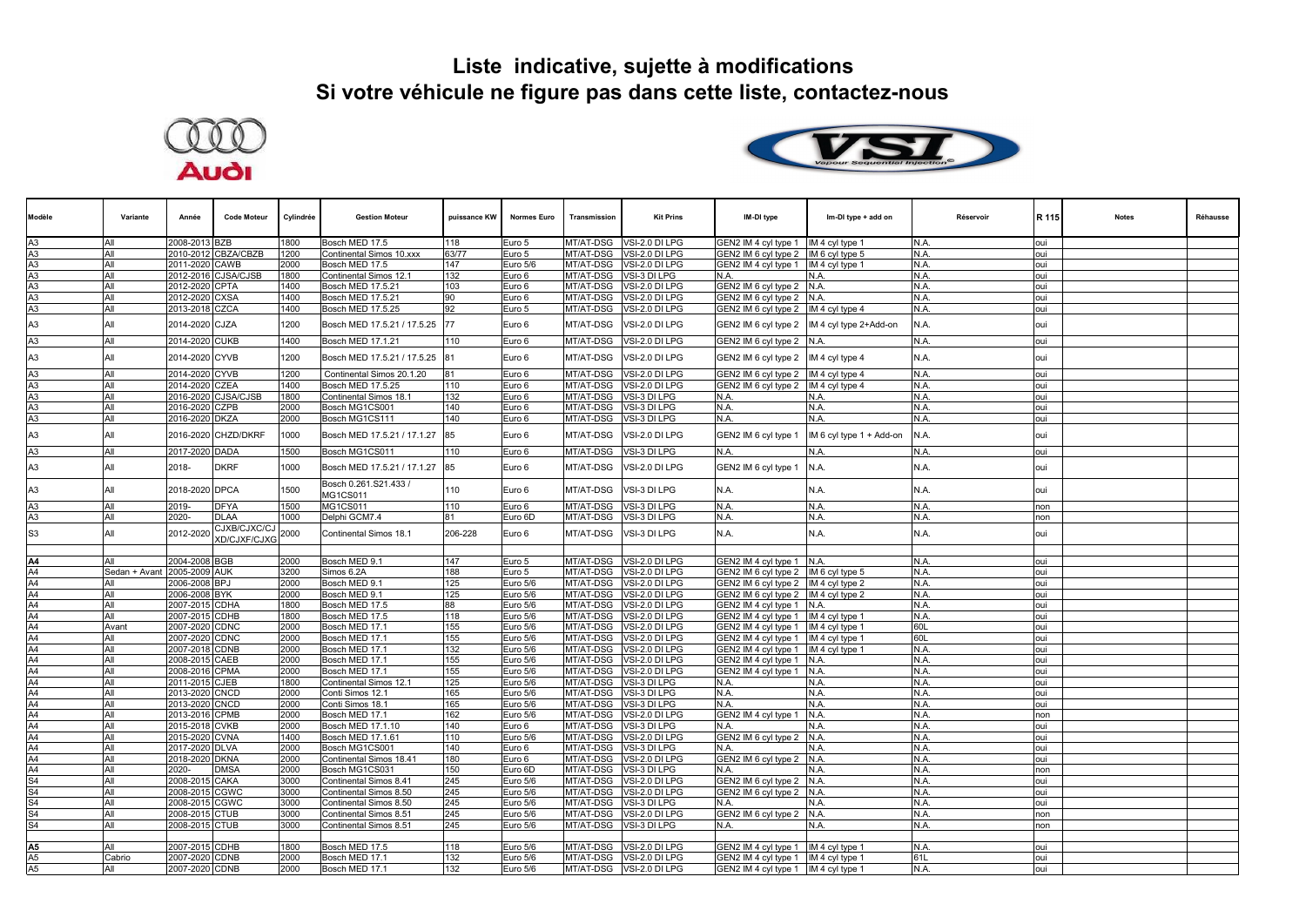



| Modèle                           | Variante                    | Année                           | <b>Code Moteur</b>                | Cylindrée    | <b>Gestion Moteur</b>            | puissance KW | <b>Normes Euro</b>   | Transmission                  | <b>Kit Prins</b>                 | IM-DI type                                   | Im-DI type + add on             | Réservoir    | R 115      | <b>Notes</b> | Réhausse |
|----------------------------------|-----------------------------|---------------------------------|-----------------------------------|--------------|----------------------------------|--------------|----------------------|-------------------------------|----------------------------------|----------------------------------------------|---------------------------------|--------------|------------|--------------|----------|
| A <sub>3</sub>                   | All                         | 2008-2013 BZB                   |                                   | 1800         | Bosch MED 17.5                   | 118          | Euro 5               |                               | MT/AT-DSG VSI-2.0 DI LPG         | GEN2 IM 4 cyl type 1                         | IM 4 cyl type 1                 | N.A.         | oui        |              |          |
| A <sub>3</sub>                   | All                         |                                 | 2010-2012 CBZA/CBZB               | 1200         | Continental Simos 10.xxx         | 63/77        | Euro 5               | MT/AT-DSG                     | /SI-2.0 DI LPG                   | GEN2 IM 6 cyl type 2 IM 6 cyl type 5         |                                 | N.A.         | oui        |              |          |
| A <sub>3</sub>                   | All                         | 2011-2020 CAWB                  |                                   | 2000         | Bosch MED 17.5                   | 147          | Euro 5/6             | MT/AT-DSG                     | /SI-2.0 DI LPG                   | GEN2 IM 4 cyl type 1   IM 4 cyl type 1       |                                 | N.A.         | oui        |              |          |
| A <sub>3</sub>                   | All                         |                                 | 2012-2016 CJSA/CJSB               | 1800         | Continental Simos 12.1           | 132          | Euro 6               | MT/AT-DSG                     | /SI-3 DI LPG                     | N.A.                                         | N.A.                            | N.A.         | oui        |              |          |
| A <sub>3</sub>                   | All                         | 2012-2020 CPTA                  |                                   | 1400         | Bosch MED 17.5.21                | 103          | Euro 6               | MT/AT-DSG                     | VSI-2.0 DI LPG                   | GEN2 IM 6 cyl type 2 N.A.                    |                                 | N.A.         | oui        |              |          |
| A <sub>3</sub>                   | All                         | 2012-2020 CXSA                  |                                   | 1400         | Bosch MED 17.5.21                | 90           | Euro 6               | MT/AT-DSG                     | /SI-2.0 DI LPG                   | GEN2 IM 6 cyl type 2 N.A.                    |                                 | N.A.         | oui        |              |          |
| A <sub>3</sub>                   | All                         | 2013-2018 CZCA                  |                                   | 1400         | Bosch MED 17.5.25                | 92           | Euro 5               | MT/AT-DSG                     | /SI-2.0 DI LPG                   | GEN2 IM 6 cyl type 2   IM 4 cyl type 4       |                                 | N.A.         | oui        |              |          |
| A <sub>3</sub>                   | All                         | 2014-2020 CJZA                  |                                   | 1200         | Bosch MED 17.5.21 / 17.5.25 77   |              | Euro 6               | MT/AT-DSG                     | /SI-2.0 DI LPG                   | GEN2 IM 6 cyl type 2                         | IM 4 cyl type 2+Add-on          | N.A.         | oui        |              |          |
| A <sub>3</sub>                   | All                         | 2014-2020 CUKB                  |                                   | 1400         | Bosch MED 17.1.21                | 110          | Euro 6               | MT/AT-DSG                     | /SI-2.0 DI LPG                   | GEN2 IM 6 cyl type 2 N.A.                    |                                 | N.A.         | oui        |              |          |
| A <sub>3</sub>                   | All                         | 2014-2020 CYVB                  |                                   | 1200         | Bosch MED 17.5.21 / 17.5.25      | 81           | Euro 6               | MT/AT-DSG                     | /SI-2.0 DI LPG                   | GEN2 IM 6 cyl type 2                         | IM 4 cyl type 4                 | N.A.         | oui        |              |          |
| A <sub>3</sub>                   | All                         | 2014-2020 CYVB                  |                                   | 1200         | Continental Simos 20.1.20        | 81           | Euro 6               | MT/AT-DSG                     | /SI-2.0 DI LPG                   | GEN2 IM 6 cyl type 2                         | IM 4 cyl type 4                 | N.A.         | oui        |              |          |
| A <sub>3</sub>                   | All                         | 2014-2020                       | ZEA                               | 1400         | Bosch MED 17.5.25                | 110          | Euro 6               | MT/AT-DSG                     | /SI-2.0 DI LPG                   | GEN2 IM 6 cyl type 2                         | IM 4 cyl type 4                 | N.A.         | oui        |              |          |
| A <sub>3</sub>                   | All                         |                                 | 2016-2020 CJSA/CJSB               | 1800         | Continental Simos 18.            | 132          | Euro 6               | MT/AT-DSG                     | SI-3 DI LPG                      | N.A.                                         | N.A.                            | N.A.         | oui        |              |          |
| A <sub>3</sub>                   | All                         | 2016-2020 CZPB                  |                                   | 2000         | Bosch MG1CS001                   | 140          | Euro 6               | MT/AT-DSG                     | /SI-3 DI LPG                     | N.A.                                         | N.A.                            | N.A.         | oui        |              |          |
| A <sub>3</sub>                   | All                         | 2016-2020 DKZA                  |                                   | 2000         | Bosch MG1CS111                   | 140          | Euro 6               | MT/AT-DSG                     | /SI-3 DI LPG                     | N.A.                                         | N.A.                            | N.A.         | oui        |              |          |
| A <sub>3</sub>                   | All                         |                                 | 2016-2020 CHZD/DKRF               | 1000         | Bosch MED 17.5.21 / 17.1.27      | 85           | Euro 6               | MT/AT-DSG                     | /SI-2.0 DI LPG                   | GEN2 IM 6 cyl type 1                         | IM 6 cyl type 1 + Add-on        | N.A.         | oui        |              |          |
| A <sub>3</sub>                   | All                         | 2017-2020 DADA                  |                                   | 1500         | Bosch MG1CS011                   | 110          | Euro 6               | MT/AT-DSG                     | /SI-3 DI LPG                     | N.A.                                         | N.A.                            | N.A.         | oui        |              |          |
| A3                               | All                         | 2018-                           | <b>DKRF</b>                       | 1000         | Bosch MED 17.5.21 / 17.1.27      | 85           | Euro 6               | MT/AT-DSG                     | /SI-2.0 DI LPG                   | GEN2 IM 6 cyl type 1                         | N.A.                            | N.A.         | oui        |              |          |
| A <sub>3</sub>                   | All                         | 2018-2020 DPCA                  |                                   | 1500         | Bosch 0.261.S21.433/<br>MG1CS011 | 110          | Euro 6               | MT/AT-DSG                     | /SI-3 DI LPG                     | N.A.                                         | N.A.                            | N.A.         | oui        |              |          |
| A <sub>3</sub>                   | All                         | 2019-                           | <b>DFYA</b>                       | 1500         | MG1CS011                         | 110          | Euro 6               | MT/AT-DSG                     | /SI-3 DI LPG                     | N.A.                                         | N.A.                            | N.A.         | non        |              |          |
| A <sub>3</sub>                   | All                         | 2020-                           | <b>DLAA</b>                       | 1000         | Delphi GCM7.4                    | 81           | Euro 6D              | MT/AT-DSG                     | /SI-3 DI LPG                     | N.A.                                         | N.A.                            | N.A.         | non        |              |          |
| S <sub>3</sub>                   | All                         | 2012-2020                       | CJXB/CJXC/CJ<br>XD/CJXF/CJXG 2000 |              | Continental Simos 18.1           | 206-228      | Euro 6               | MT/AT-DSG                     | /SI-3 DI LPG                     | N.A.                                         | N.A.                            | N.A.         | oui        |              |          |
|                                  |                             |                                 |                                   |              |                                  |              |                      |                               |                                  |                                              |                                 |              |            |              |          |
| A4                               | All                         | 2004-2008                       | <b>BGB</b>                        | 2000         | Bosch MED 9.1                    | 147          | Euro 5               | MT/AT-DSG                     | /SI-2.0 DI LPG                   | GEN2 IM 4 cyl type 1                         | N.A.                            | N.A.         | oui        |              |          |
| A <sub>4</sub><br>A <sub>4</sub> | Sedan + Avant 2005-2009 AUK |                                 |                                   | 3200         | Simos 6.2A                       | 188          | Euro 5               | MT/AT-DSG                     | /SI-2.0 DI LPG                   | GEN2 IM 6 cyl type 2 IM 6 cyl type 5         |                                 | N.A.         | oui        |              |          |
| A <sub>4</sub>                   | All<br>All                  | 2006-2008 BPJ                   |                                   | 2000         | Bosch MED 9.1                    | 125          | Euro 5/6             | MT/AT-DSG                     | /SI-2.0 DI LPG                   | GEN2 IM 6 cyl type 2 IM 4 cyl type 2         |                                 | N.A.         | oui<br>oui |              |          |
| A <sub>4</sub>                   | All                         | 2006-2008 BYK<br>2007-2015 CDHA |                                   | 2000<br>1800 | Bosch MED 9.1<br>Bosch MED 17.5  | 125<br>88    | Euro 5/6<br>Euro 5/6 | MT/AT-DSG<br><b>MT/AT-DSG</b> | /SI-2.0 DI LPG<br>/SI-2.0 DI LPG | GEN2 IM 6 cyl type 2  IM 4 cyl type 2        |                                 | N.A.<br>N.A. | oui        |              |          |
| A <sub>4</sub>                   | All                         | 2007-2015 CDHB                  |                                   | 1800         | Bosch MED 17.5                   | 118          | Euro 5/6             | MT/AT-DSG                     | /SI-2.0 DI LPG                   | GEN2 IM 4 cyl type 1<br>GEN2 IM 4 cyl type 1 | IN.A.<br><b>IM 4 cyl type 1</b> | N.A.         | oui        |              |          |
| A4                               | Avant                       | 2007-2020 CDNC                  |                                   | 2000         | Bosch MED 17.1                   | 155          | Euro 5/6             | MT/AT-DSG                     | /SI-2.0 DI LPG                   | GEN2 IM 4 cyl type 1 IM 4 cyl type 1         |                                 | 60L          | oui        |              |          |
| A <sub>4</sub>                   | All                         | 2007-2020 CDNC                  |                                   | 2000         | Bosch MED 17.1                   | 155          | Euro 5/6             | MT/AT-DSG                     | /SI-2.0 DI LPG                   | GEN2 IM 4 cyl type 1  IM 4 cyl type 1        |                                 | 60L          | oui        |              |          |
| A <sub>4</sub>                   | All                         | 2007-2018 CDNB                  |                                   | 2000         | Bosch MED 17.1                   | 132          | Euro 5/6             | <b>MT/AT-DSG</b>              | /SI-2.0 DI LPG                   | GEN2 IM 4 cyl type 1 IM 4 cyl type 1         |                                 | N.A.         | oui        |              |          |
| A4                               | All                         | 2008-2015 CAEB                  |                                   | 2000         | Bosch MED 17.1                   | 155          | Euro 5/6             | MT/AT-DSG                     | /SI-2.0 DI LPG                   | GEN2 IM 4 cyl type 1                         | N.A.                            | N.A.         | oui        |              |          |
| A4                               | All                         | 2008-2016 CPMA                  |                                   | 2000         | Bosch MED 17.1                   | 155          | Euro 5/6             | MT/AT-DSG                     | /SI-2.0 DI LPG                   | GEN2 IM 4 cyl type 1                         | IN.A                            | N.A.         | oui        |              |          |
| A <sub>4</sub>                   | All                         | 2011-2015 CJEB                  |                                   | 1800         | Continental Simos 12.1           | 125          | Euro 5/6             | MT/AT-DSG                     | /SI-3 DI LPG                     | N.A.                                         | N.A.                            | N.A.         | oui        |              |          |
| AA                               | All                         | 2013-2020 CNCD                  |                                   | 2000         | Conti Simos 12.                  | 165          | Euro 5/6             | MT/AT-DSG                     | /SI-3 DI LPG                     | N.A.                                         | N.A.                            | N.A.         | oui        |              |          |
| A <sub>4</sub>                   | All                         | 2013-2020 CNCD                  |                                   | 2000         | Conti Simos 18.1                 | 165          | Euro 5/6             | MT/AT-DSG                     | VSI-3 DI LPG                     | N.A.                                         | N.A.                            | N.A.         | oui        |              |          |
| A4                               | All                         | 2013-2016 CPMB                  |                                   | 2000         | Bosch MED 17.1                   | 162          | Euro 5/6             | <b>MT/AT-DSG</b>              | /SI-2.0 DI LPG                   | GEN2 IM 4 cyl type 1                         | N.A.                            | N.A.         | non        |              |          |
| A <sub>4</sub>                   | All                         | 2015-2018 CVKB                  |                                   | 2000         | Bosch MED 17.1.10                | 140          | Euro 6               | MT/AT-DSG                     | VSI-3 DI LPG                     | N.A.                                         | N.A.                            | N.A.         | oui        |              |          |
| A <sub>4</sub>                   | All                         | 2015-2020 CVNA                  |                                   | 1400         | Bosch MED 17.1.61                | 110          | Euro 5/6             | <b>MT/AT-DSG</b>              | /SI-2.0 DI LPG                   | GEN2 IM 6 cyl type 2 N.A.                    |                                 | N.A.         | oui        |              |          |
| A <sub>4</sub>                   | All                         | 2017-2020 DLVA                  |                                   | 2000         | Bosch MG1CS001                   | 140          | Euro 6               | MT/AT-DSG                     | /SI-3 DI LPG                     | N.A.                                         | N.A.                            | N.A.         | oui        |              |          |
| A <sub>4</sub>                   | All                         | 2018-2020 DKNA                  |                                   | 2000         | Continental Simos 18.41          | 180          | Euro 6               | MT/AT-DSG                     | /SI-2.0 DI LPG                   | GEN2 IM 6 cyl type 2 N.A.                    |                                 | N.A.         | oui        |              |          |
| A4                               | All                         | 2020-                           | <b>DMSA</b>                       | 2000         | Bosch MG1CS031                   | 150          | Euro 6D              | MT/AT-DSG                     | VSI-3 DI LPG                     | N.A.                                         | N.A.                            | N.A.         | non        |              |          |
| S <sub>4</sub>                   | All                         | 2008-2015 CAKA                  |                                   | 3000         | Continental Simos 8.41           | 245          | Euro 5/6             | MT/AT-DSG                     | /SI-2.0 DI LPG                   | GEN2 IM 6 cyl type 2 N.A.                    |                                 | N.A.         | oui        |              |          |
| S <sub>4</sub>                   | All                         | 2008-2015 CGWC                  |                                   | 3000         | Continental Simos 8.50           | 245          | Euro 5/6             | MT/AT-DSG                     | /SI-2.0 DI LPG                   | GEN2 IM 6 cyl type 2 N.A.                    |                                 | N.A.         | oui        |              |          |
| S <sub>4</sub>                   | All                         | 2008-2015                       | CGWC                              | 3000         | Continental Simos 8.50           | 245          | Euro 5/6             | MT/AT-DSG                     | /SI-3 DI LPG                     | N.A.                                         | N.A.                            | N.A.         | oui        |              |          |
| S <sub>4</sub>                   | All                         | 2008-2015                       | <b>CTUB</b>                       | 3000         | Continental Simos 8.51           | 245          | Euro 5/6             | MT/AT-DSG                     | /SI-2.0 DI LPG                   | GEN2 IM 6 cyl type 2 N.A.                    |                                 | N.A.         | non        |              |          |
| S <sub>4</sub>                   | All                         | 2008-2015 CTUB                  |                                   | 3000         | Continental Simos 8.51           | 245          | Euro 5/6             | MT/AT-DSG                     | /SI-3 DI LPG                     | N.A.                                         | N.A.                            | N.A.         | non        |              |          |
|                                  |                             |                                 |                                   |              |                                  |              |                      |                               |                                  |                                              |                                 |              |            |              |          |
| A5                               | All                         | 2007-2015 CDHB                  |                                   | 1800         | Bosch MED 17.5                   | 118          | Euro 5/6             | MT/AT-DSG                     | VSI-2.0 DI LPG                   | GEN2 IM 4 cyl type 1  IM 4 cyl type 1        |                                 | N.A.         | oui        |              |          |
| A <sub>5</sub>                   | Cabrio                      | 2007-2020 CDNB                  |                                   | 2000         | Bosch MED 17.1                   | 132          | Euro 5/6             | MT/AT-DSG                     | /SI-2.0 DI LPG                   | GEN2 IM 4 cyl type 1 IM 4 cyl type 1         |                                 | 61L          | oui        |              |          |
| A <sub>5</sub>                   | All                         | 2007-2020 CDNB                  |                                   | 2000         | Bosch MED 17.1                   | 132          | Euro 5/6             | MT/AT-DSG                     | VSI-2.0 DI LPG                   | GEN2 IM 4 cyl type 1   IM 4 cyl type 1       |                                 | N.A.         | oui        |              |          |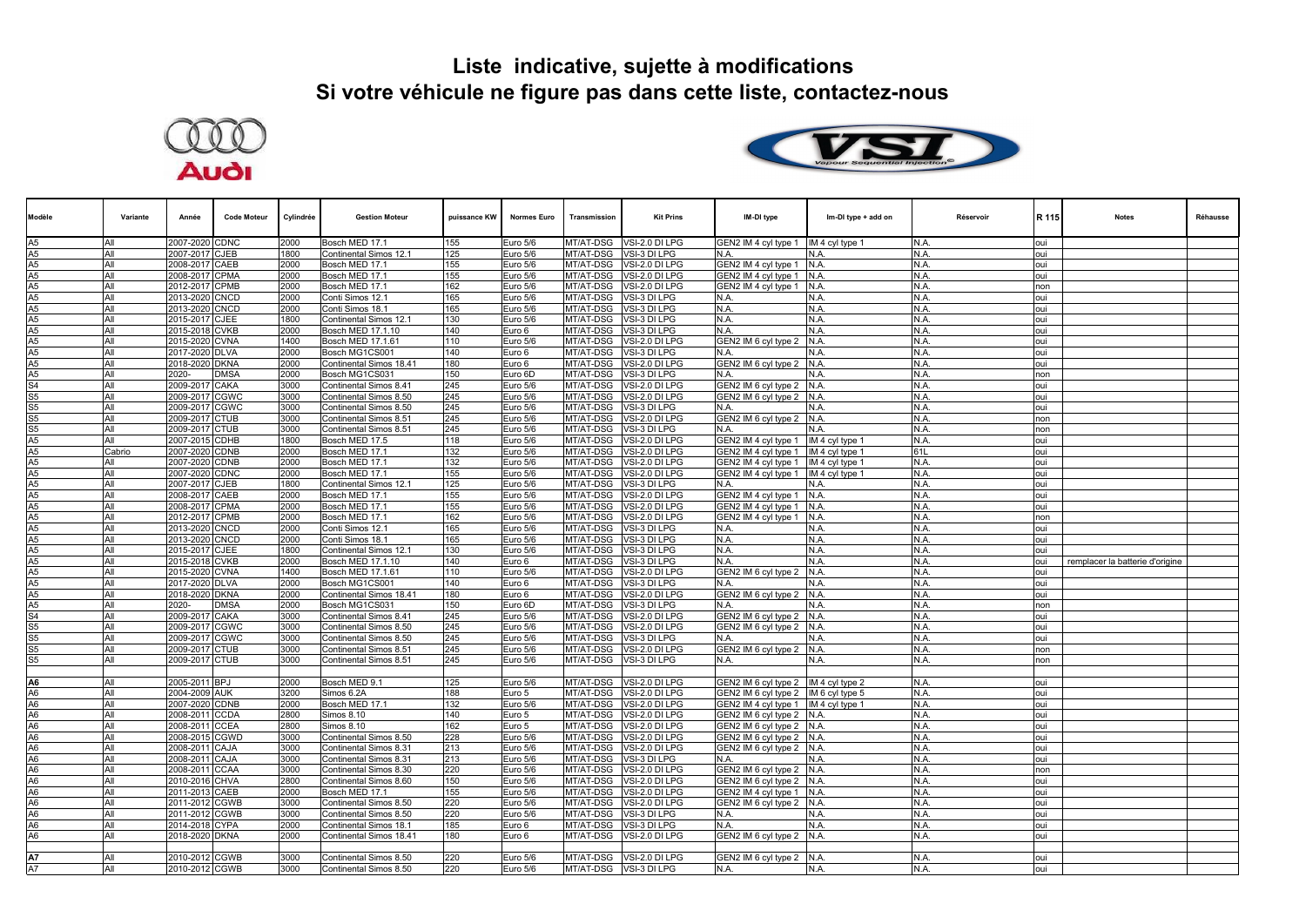



| Modèle                           | Variante | Année          | <b>Code Moteur</b> | Cylindrée | <b>Gestion Moteur</b>   | puissance KW | <b>Normes Euro</b> | Transmission | <b>Kit Prins</b>         | IM-DI type                             | Im-DI type + add on | Réservoir | R 115 | <b>Notes</b>                    | <b>Réhausse</b> |
|----------------------------------|----------|----------------|--------------------|-----------|-------------------------|--------------|--------------------|--------------|--------------------------|----------------------------------------|---------------------|-----------|-------|---------------------------------|-----------------|
| A <sub>5</sub>                   | All      | 2007-2020 CDNC |                    | 2000      | Bosch MED 17.1          | 155          | Euro 5/6           |              | MT/AT-DSG VSI-2.0 DI LPG | GEN2 IM 4 cyl type 1                   | IM 4 cyl type 1     | N.A.      | loui  |                                 |                 |
| A <sub>5</sub>                   | All      | 2007-2017 CJEB |                    | 1800      | Continental Simos 12.1  | 125          | Euro 5/6           | MT/AT-DSG    | VSI-3 DI LPG             | N.A.                                   | N.A.                | N.A.      | oui   |                                 |                 |
| A5                               | All      | 2008-2017 CAEB |                    | 2000      | Bosch MED 17.1          | 155          | Euro 5/6           | MT/AT-DSG    | VSI-2.0 DI LPG           | GEN2 IM 4 cyl type 1                   | N.A.                | N.A.      | oui   |                                 |                 |
| A <sub>5</sub>                   | All      | 2008-2017      | <b>CPMA</b>        | 2000      | Bosch MED 17.1          | 155          | Euro 5/6           | MT/AT-DSG    | /SI-2.0 DI LPG           | GEN2 IM 4 cyl type 1                   | N.A.                | N.A.      | oui   |                                 |                 |
| A <sub>5</sub>                   | All      | 2012-2017 CPMB |                    | 2000      | Bosch MED 17.1          | 162          | Euro 5/6           | MT/AT-DSG    | VSI-2.0 DI LPG           | GEN2 IM 4 cyl type 1                   | N.A.                | N.A.      | non   |                                 |                 |
| A <sub>5</sub>                   | All      | 2013-2020      | <b>CNCD</b>        | 2000      | Conti Simos 12.1        | 165          | Euro 5/6           | MT/AT-DSG    | VSI-3 DI LPG             | N.A.                                   | N.A.                | N.A.      | loui  |                                 |                 |
| A <sub>5</sub>                   | All      | 2013-2020 CNCD |                    | 2000      | Conti Simos 18.1        | 165          | Euro 5/6           | MT/AT-DSG    | VSI-3 DI LPG             | N.A.                                   | N.A.                | N.A.      | oui   |                                 |                 |
| A <sub>5</sub>                   | All      | 2015-2017 CJEE |                    | 1800      | Continental Simos 12.1  | 130          | Euro 5/6           | MT/AT-DSG    | VSI-3 DI LPG             | N.A.                                   | N.A.                | N.A.      | loui  |                                 |                 |
| A <sub>5</sub>                   | All      | 2015-2018 CVKB |                    | 2000      | Bosch MED 17.1.10       | 140          | Euro 6             | MT/AT-DSG    | VSI-3 DI LPG             | N.A.                                   | N.A.                | N.A.      | oui   |                                 |                 |
| A <sub>5</sub>                   | All      | 2015-2020 CVNA |                    | 1400      | Bosch MED 17.1.61       | 110          | Euro 5/6           | MT/AT-DSG    | VSI-2.0 DI LPG           | GEN2 IM 6 cyl type 2                   | N.A.                | N.A.      | oui   |                                 |                 |
| A <sub>5</sub>                   | All      | 2017-2020 DLVA |                    | 2000      | Bosch MG1CS001          | 140          | Euro 6             | MT/AT-DSG    | VSI-3 DI LPG             | N.A.                                   | N.A.                | N.A.      | oui   |                                 |                 |
| A <sub>5</sub>                   | All      | 2018-2020 DKNA |                    | 2000      | Continental Simos 18.41 | 180          | Euro 6             |              | MT/AT-DSG VSI-2.0 DI LPG | GEN2 IM 6 cyl type 2 N.A.              |                     | N.A.      | oui   |                                 |                 |
| A <sub>5</sub>                   | All      | 2020-          | <b>DMSA</b>        | 2000      | Bosch MG1CS031          | 150          | Euro 6D            | MT/AT-DSG    | VSI-3 DI LPG             | N.A.                                   | N.A.                | N.A.      | non   |                                 |                 |
| S <sub>4</sub>                   | All      | 2009-2017 CAKA |                    | 3000      | Continental Simos 8.41  | 245          | Euro 5/6           | MT/AT-DSG    | VSI-2.0 DI LPG           | GEN2 IM 6 cyl type 2 N.A.              |                     | N.A.      | oui   |                                 |                 |
| S <sub>5</sub>                   | All      | 2009-2017      | <b>CGWC</b>        | 3000      | Continental Simos 8.50  | 245          | Euro 5/6           | MT/AT-DSG    | VSI-2.0 DI LPG           | GEN2 IM 6 cyl type 2 N.A.              |                     | N.A.      | oui   |                                 |                 |
| S <sub>5</sub>                   | All      | 2009-2017      | <b>CGWC</b>        | 3000      | Continental Simos 8.50  | 245          | Euro 5/6           | MT/AT-DSG    | /SI-3 DI LPG             | N.A.                                   | N.A.                | N.A.      | oui   |                                 |                 |
| S <sub>5</sub>                   | All      | 2009-2017      | <b>CTUB</b>        | 3000      | Continental Simos 8.51  | 245          | Euro 5/6           | MT/AT-DSG    | VSI-2.0 DI LPG           | GEN2 IM 6 cyl type 2                   | N.A.                | N.A.      | non   |                                 |                 |
| S <sub>5</sub>                   | All      | 2009-2017      | <b>CTUB</b>        | 3000      | Continental Simos 8.51  | 245          | Euro 5/6           | MT/AT-DSG    | VSI-3 DI LPG             | N.A.                                   | N.A.                | N.A.      | non   |                                 |                 |
| A <sub>5</sub>                   | All      | 2007-2015 CDHB |                    | 1800      | Bosch MED 17.5          | 118          | Euro 5/6           | MT/AT-DSG    | VSI-2.0 DI LPG           | GEN2 IM 4 cyl type 1                   | IM 4 cyl type 1     | N.A.      | oui   |                                 |                 |
| A5                               | Cabrio   | 2007-2020 CDNB |                    | 2000      | Bosch MED 17.1          | 132          | Euro 5/6           | MT/AT-DSG    | VSI-2.0 DI LPG           | GEN2 IM 4 cyl type 1                   | IM 4 cyl type 1     | 61L       | oui   |                                 |                 |
| A <sub>5</sub>                   | All      | 2007-2020 CDNB |                    | 2000      | Bosch MED 17.1          | 132          | Euro 5/6           | MT/AT-DSG    | VSI-2.0 DI LPG           | GEN2 IM 4 cyl type 1   IM 4 cyl type 1 |                     | N.A.      | oui   |                                 |                 |
| A <sub>5</sub>                   | All      | 2007-2020 CDNC |                    | 2000      | Bosch MED 17.1          | 155          | Euro 5/6           | MT/AT-DSG    | VSI-2.0 DI LPG           | GEN2 IM 4 cvl tvpe 1 IIM 4 cvl tvpe 1  |                     | N.A.      | oui   |                                 |                 |
| A <sub>5</sub>                   | All      | 2007-2017      | <b>CJEB</b>        | 1800      | Continental Simos 12.1  | 125          | Euro 5/6           | MT/AT-DSG    | VSI-3 DI LPG             | N.A.                                   | N.A.                | N.A.      | oui   |                                 |                 |
| A <sub>5</sub>                   | All      | 2008-2017 CAEB |                    | 2000      | Bosch MED 17.1          | 155          | Euro 5/6           | MT/AT-DSG    | VSI-2.0 DI LPG           | GEN2 IM 4 cyl type 1 N.A.              |                     | N.A.      | oui   |                                 |                 |
| A <sub>5</sub>                   | All      | 2008-2017 CPMA |                    | 2000      | Bosch MED 17.1          | 155          | Euro 5/6           | MT/AT-DSG    | VSI-2.0 DI LPG           | GEN2 IM 4 cyl type 1                   | N.A.                | N.A.      | loui  |                                 |                 |
| A <sub>5</sub>                   | All      | 2012-2017 CPMB |                    | 2000      | Bosch MED 17.1          | 162          | Euro 5/6           | MT/AT-DSG    | VSI-2.0 DI LPG           | GEN2 IM 4 cyl type 1 N.A.              |                     | N.A.      | non   |                                 |                 |
| A <sub>5</sub>                   | All      | 2013-2020 CNCD |                    | 2000      | Conti Simos 12.1        | 165          | Euro 5/6           | MT/AT-DSG    | VSI-3 DI LPG             | N.A.                                   | N.A.                | N.A.      | oui   |                                 |                 |
| A <sub>5</sub>                   | All      | 2013-2020 CNCD |                    | 2000      | Conti Simos 18.1        | 165          | Euro 5/6           | MT/AT-DSG    | VSI-3 DI LPG             | N.A.                                   | N.A.                | N.A.      | oui   |                                 |                 |
| A <sub>5</sub>                   | All      | 2015-2017      | <b>CJEE</b>        | 1800      | Continental Simos 12.   | 130          | Euro 5/6           | MT/AT-DSG    | <b>VSI-3 DI LPG</b>      | N.A.                                   | N.A.                | N.A.      | oui   |                                 |                 |
| A5<br>A5                         | All      | 2015-2018      | <b>CVKB</b>        | 2000      | Bosch MED 17.1.10       | 140          | Euro 6             | MT/AT-DSG    | /SI-3 DI LPG             | N.A.                                   | N.A.                | N.A.      | oui   | remplacer la batterie d'origine |                 |
|                                  | All      | 2015-2020 CVNA |                    | 1400      | Bosch MED 17.1.61       | 110          | Euro 5/6           | MT/AT-DSG    | VSI-2.0 DI LPG           | GEN2 IM 6 cyl type 2 N.A.              |                     | N.A.      | oui   |                                 |                 |
| A <sub>5</sub>                   | All      | 2017-2020      | <b>DLVA</b>        | 2000      | Bosch MG1CS001          | 140          | Euro 6             | MT/AT-DSG    | VSI-3 DI LPG             | N.A.                                   | N.A.                | N.A.      | oui   |                                 |                 |
| A <sub>5</sub>                   | All      | 2018-2020 DKNA |                    | 2000      | Continental Simos 18.41 | 180          | Euro 6             | MT/AT-DSG    | VSI-2.0 DI LPG           | GEN2 IM 6 cyl type 2                   | N.A.                | N.A.      | oui   |                                 |                 |
| A <sub>5</sub>                   | All      | 2020-          | <b>DMSA</b>        | 2000      | Bosch MG1CS031          | 150          | Euro 6D            | MT/AT-DSG    | VSI-3 DI LPG             | N.A.                                   | N.A.                | N.A.      | non   |                                 |                 |
| S <sub>4</sub>                   | All      | 2009-2017      | CAKA               | 3000      | Continental Simos 8.41  | 245          | Euro 5/6           | MT/AT-DSG    | VSI-2.0 DI LPG           | GEN2 IM 6 cyl type 2                   | N.A.                | N.A.      | oui   |                                 |                 |
| S <sub>5</sub>                   | All      | 2009-2017      | <b>CGWC</b>        | 3000      | Continental Simos 8.50  | 245          | Euro 5/6           | MT/AT-DSG    | VSI-2.0 DI LPG           | GEN2 IM 6 cyl type 2 N.A.              |                     | N.A.      | oui   |                                 |                 |
| S <sub>5</sub>                   | All      | 2009-2017      | <b>CGWC</b>        | 3000      | Continental Simos 8.50  | 245          | Euro 5/6           | MT/AT-DSG    | VSI-3 DI LPG             | N.A.                                   | N.A.                | N.A.      | oui   |                                 |                 |
| S <sub>5</sub>                   | All      | 2009-2017 CTUB |                    | 3000      | Continental Simos 8.51  | 245          | Euro 5/6           | MT/AT-DSG    | VSI-2.0 DI LPG           | GEN2 IM 6 cyl type 2 N.A.              |                     | N.A.      | non   |                                 |                 |
| S <sub>5</sub>                   | All      | 2009-2017 CTUB |                    | 3000      | Continental Simos 8.51  | 245          | Euro 5/6           | MT/AT-DSG    | VSI-3 DI LPG             | N.A.                                   | N.A.                | N.A.      | non   |                                 |                 |
| A <sub>6</sub>                   |          |                |                    |           |                         |              |                    |              |                          |                                        |                     |           |       |                                 |                 |
| A <sub>6</sub>                   | All      | 2005-2011 BPJ  |                    | 2000      | Bosch MED 9.1           | 125          | Euro 5/6           | MT/AT-DSG    | VSI-2.0 DI LPG           | GEN2 IM 6 cyl type 2  IM 4 cyl type 2  |                     | N.A.      | oui   |                                 |                 |
| A <sub>6</sub>                   | All      | 2004-2009 AUK  |                    | 3200      | Simos 6.2A              | 188          | Euro 5             | MT/AT-DSG    | VSI-2.0 DI LPG           | GEN2 IM 6 cyl type 2 IM 6 cyl type 5   |                     | N.A.      | oui   |                                 |                 |
| A <sub>6</sub>                   | All      | 2007-2020 CDNB |                    | 2000      | Bosch MED 17.1          | 132          | Euro 5/6           | MT/AT-DSG    | VSI-2.0 DI LPG           | GEN2 IM 4 cyl type 1  IM 4 cyl type 1  |                     | N.A.      | oui   |                                 |                 |
| A <sub>6</sub>                   | All      | 2008-2011 CCDA |                    | 2800      | Simos 8.10              | 140          | Euro 5             | MT/AT-DSG    | VSI-2.0 DI LPG           | GEN2 IM 6 cyl type 2                   | N.A.                | N.A.      | loui  |                                 |                 |
| A <sub>6</sub>                   | All      | 2008-2011 CCEA |                    | 2800      | Simos 8.10              | 162          | Euro 5             | MT/AT-DSG    | VSI-2.0 DI LPG           | GEN2 IM 6 cyl type 2 N.A.              |                     | N.A.      | loui  |                                 |                 |
|                                  | All      | 2008-2015 CGWD |                    | 3000      | Continental Simos 8.50  | 228          | Euro 5/6           | MT/AT-DSG    | VSI-2.0 DI LPG           | GEN2 IM 6 cyl type 2 N.A.              |                     | N.A.      | loui  |                                 |                 |
| A <sub>6</sub>                   | All      | 2008-2011      | CAJA               | 3000      | Continental Simos 8.31  | 213          | Euro 5/6           | MT/AT-DSG    | VSI-2.0 DI LPG           | GEN2 IM 6 cyl type 2 N.A.              |                     | N.A.      | oui   |                                 |                 |
| A <sub>6</sub>                   | All      | 2008-2011 CAJA |                    | 3000      | Continental Simos 8.31  | 213          | Euro 5/6           | MT/AT-DSG    | VSI-3 DI LPG             | N.A.                                   | N.A.                | N.A.      | oui   |                                 |                 |
| A <sub>6</sub><br>A <sub>6</sub> | All      | 2008-2011 CCAA |                    | 3000      | Continental Simos 8.30  | 220          | Euro 5/6           | MT/AT-DSG    | VSI-2.0 DI LPG           | GEN2 IM 6 cyl type 2 N.A.              |                     | N.A.      | non   |                                 |                 |
| A <sub>6</sub>                   | All      | 2010-2016 CHVA |                    | 2800      | Continental Simos 8.60  | 150          | Euro 5/6           |              | MT/AT-DSG VSI-2.0 DI LPG | GEN2 IM 6 cyl type 2 N.A.              |                     | N.A.      | iuo.  |                                 |                 |
| A <sub>6</sub>                   | All      | 2011-2013 CAEB |                    | 2000      | Bosch MED 17.1          | 155          | Euro 5/6           | MT/AT-DSG    | VSI-2.0 DI LPG           | GEN2 IM 4 cyl type 1                   | N.A.                | N.A.      | loui  |                                 |                 |
|                                  | All      | 2011-2012 CGWB |                    | 3000      | Continental Simos 8.50  | 220          | Euro 5/6           | MT/AT-DSG    | VSI-2.0 DI LPG           | GEN2 IM 6 cyl type 2                   | N.A.                | N.A.      | oui   |                                 |                 |
| A <sub>6</sub>                   | All      | 2011-2012 CGWB |                    | 3000      | Continental Simos 8.50  | 220          | Euro 5/6           | MT/AT-DSG    | <b>VSI-3 DI LPG</b>      | N.A.                                   | N.A.                | N.A.      | oui   |                                 |                 |
| A <sub>6</sub>                   | All      | 2014-2018      | <b>CYPA</b>        | 2000      | Continental Simos 18.1  | 185          | Euro 6             | MT/AT-DSG    | /SI-3 DI LPG             | N.A.                                   | N.A.                | N.A.      | oui   |                                 |                 |
| A <sub>6</sub>                   | All      | 2018-2020 DKNA |                    | 2000      | Continental Simos 18.41 | 180          | Euro 6             | MT/AT-DSG    | VSI-2.0 DI LPG           | GEN2 IM 6 cyl type 2 N.A.              |                     | N.A.      | oui   |                                 |                 |
|                                  |          |                |                    |           |                         |              |                    |              |                          |                                        |                     |           |       |                                 |                 |
| <b>A7</b><br>A7                  | All      | 2010-2012 CGWB |                    | 3000      | Continental Simos 8.50  | 220          | Euro 5/6           |              | MT/AT-DSG VSI-2.0 DI LPG | GEN2 IM 6 cyl type 2 N.A.              |                     | N.A.      | oui   |                                 |                 |
|                                  | All      | 2010-2012 CGWB |                    | 3000      | Continental Simos 8.50  | 220          | Euro 5/6           |              | MT/AT-DSG VSI-3 DI LPG   | N.A.                                   | N.A.                | N.A.      | oui   |                                 |                 |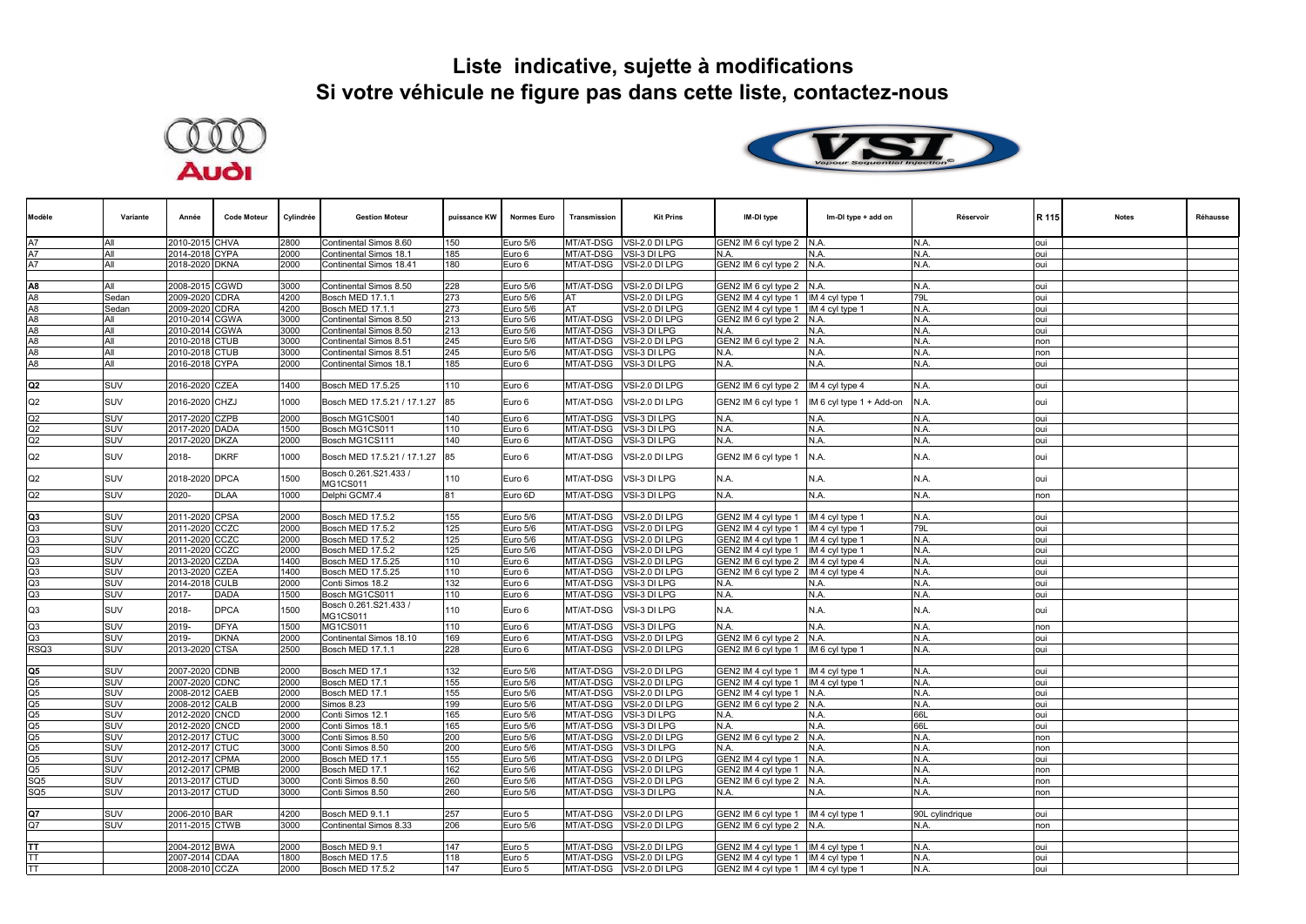



| Modèle                           | Variante   | Année          | <b>Code Moteur</b> | Cylindrée | <b>Gestion Moteur</b>             | puissance KW | <b>Normes Euro</b> | Transmission | <b>Kit Prins</b>         | IM-DI type                             | Im-DI type + add on      | Réservoir       | R 115 | <b>Notes</b> | Réhausse |
|----------------------------------|------------|----------------|--------------------|-----------|-----------------------------------|--------------|--------------------|--------------|--------------------------|----------------------------------------|--------------------------|-----------------|-------|--------------|----------|
|                                  | All        | 2010-2015 CHVA |                    | 2800      | Continental Simos 8.60            | 150          | Euro 5/6           |              | MT/AT-DSG VSI-2.0 DI LPG | GEN2 IM 6 cyl type 2 N.A.              |                          | N.A.            | oui   |              |          |
| A7                               | All        | 2014-2018 CYPA |                    | 2000      | Continental Simos 18.1            | 185          | Euro 6             | MT/AT-DSG    | VSI-3 DI LPG             | N.A.                                   | N.A.                     | N.A.            | oui   |              |          |
| A7                               | All        | 2018-2020 DKNA |                    | 2000      | Continental Simos 18.41           | 180          | Euro 6             |              | MT/AT-DSG VSI-2.0 DI LPG | GEN2 IM 6 cyl type 2 N.A.              |                          | N.A.            | oui   |              |          |
|                                  |            |                |                    |           |                                   |              |                    |              |                          |                                        |                          |                 |       |              |          |
| A8                               | All        | 2008-2015 CGWD |                    | 3000      | Continental Simos 8.50            | 228          | Euro 5/6           |              | MT/AT-DSG VSI-2.0 DI LPG | GEN2 IM 6 cyl type 2 N.A.              |                          | N.A.            | oui   |              |          |
| A <sub>8</sub>                   | Sedan      | 2009-2020 CDRA |                    | 4200      | <b>Bosch MED 17.1.1</b>           | 273          | Euro 5/6           | AT           | VSI-2.0 DI LPG           | GEN2 IM 4 cyl type 1                   | IM 4 cyl type 1          | 79L             | oui   |              |          |
| A8                               | Sedan      | 2009-2020 CDRA |                    | 4200      | Bosch MED 17.1.1                  | 273          | Euro 5/6           | AT           | VSI-2.0 DI LPG           | GEN2 IM 4 cyl type 1  IM 4 cyl type 1  |                          | N.A.            | oui   |              |          |
| A8                               | All        | 2010-2014 CGWA |                    | 3000      | Continental Simos 8.50            | 213          | Euro 5/6           |              | MT/AT-DSG VSI-2.0 DI LPG | GEN2 IM 6 cyl type 2 N.A.              |                          | N.A.            | oui   |              |          |
| A <sub>8</sub><br>A <sub>8</sub> | All        | 2010-2014      | <b>CGWA</b>        | 3000      | Continental Simos 8.50            | 213          | Euro 5/6           | MT/AT-DSG    | VSI-3 DI LPG             | N.A.                                   | N.A.                     | N.A.            | oui   |              |          |
| A8                               | All<br>All | 2010-2018 CTUB |                    | 3000      | Continental Simos 8.51            | 245          | Euro 5/6           | MT/AT-DSG    | VSI-2.0 DI LPG           | GEN2 IM 6 cyl type 2 N.A.              |                          | N.A.<br>N.A.    | non   |              |          |
| A8                               | All        | 2010-2018 CTUB |                    | 3000      | Continental Simos 8.51            | 245<br>185   | Euro 5/6           | MT/AT-DSG    | VSI-3 DI LPG             | N.A.<br>N.A.                           | N.A.<br>N.A.             |                 | non   |              |          |
|                                  |            | 2016-2018 CYPA |                    | 2000      | Continental Simos 18.1            |              | Euro 6             |              | MT/AT-DSG VSI-3 DI LPG   |                                        |                          | N.A.            | oui   |              |          |
| Q <sub>2</sub>                   | SUV        | 2016-2020 CZEA |                    | 1400      | Bosch MED 17.5.25                 | 110          | Euro 6             | MT/AT-DSG    | VSI-2.0 DI LPG           | GEN2 IM 6 cyl type 2  IM 4 cyl type 4  |                          | N.A.            | oui   |              |          |
|                                  |            |                |                    |           |                                   |              |                    |              |                          |                                        |                          |                 |       |              |          |
| Q2                               | SUV        | 2016-2020 CHZJ |                    | 1000      | Bosch MED 17.5.21 / 17.1.27       | 85           | Euro 6             | MT/AT-DSG    | VSI-2.0 DI LPG           | GEN2 IM 6 cyl type 1                   | IM 6 cyl type 1 + Add-on | N.A.            | oui   |              |          |
| Q2                               | SUV        | 2017-2020 CZPB |                    | 2000      | Bosch MG1CS001                    | 140          | Euro 6             |              | MT/AT-DSG VSI-3 DI LPG   | N.A.                                   | N.A.                     | N.A.            | oui   |              |          |
| Q2                               | SUV        | 2017-2020 DADA |                    | 1500      | Bosch MG1CS011                    | 110          | Euro 6             | MT/AT-DSG    | VSI-3 DI LPG             | N.A.                                   | N.A.                     | N.A.            | oui   |              |          |
| Q2                               | SUV        | 2017-2020 DKZA |                    | 2000      | Bosch MG1CS111                    | 140          | Euro 6             |              | MT/AT-DSG VSI-3 DI LPG   | N.A.                                   | N.A.                     | N.A.            | oui   |              |          |
| Q2                               | SUV        | 2018-          | <b>DKRF</b>        | 1000      | Bosch MED 17.5.21 / 17.1.27       | 85           | Euro 6             | MT/AT-DSG    | VSI-2.0 DI LPG           | GEN2 IM 6 cyl type 1                   | N.A.                     | N.A.            | oui   |              |          |
| Q2                               | SUV        | 2018-2020 DPCA |                    | 1500      | Bosch 0.261.S21.433 /<br>MG1CS011 | 110          | Euro 6             | MT/AT-DSG    | VSI-3 DI LPG             | N.A.                                   | N.A.                     | N.A.            | oui   |              |          |
| Q2                               | SUV        | 2020-          | <b>DLAA</b>        | 1000      | Delphi GCM7.4                     | 81           | Euro 6D            |              | MT/AT-DSG VSI-3 DI LPG   | N.A.                                   | N.A.                     | N.A.            | non   |              |          |
| Q3                               | <b>SUV</b> | 2011-2020 CPSA |                    | 2000      | Bosch MED 17.5.2                  | 155          | Euro 5/6           |              | MT/AT-DSG VSI-2.0 DI LPG | GEN2 IM 4 cyl type 1                   | IM 4 cyl type 1          | N.A.            | oui   |              |          |
| Q3                               | SUV        | 2011-2020 CCZC |                    | 2000      | Bosch MED 17.5.2                  | 125          | Euro 5/6           | MT/AT-DSG    | VSI-2.0 DI LPG           | GEN2 IM 4 cyl type 1                   | IM 4 cyl type 1          | 79L             | oui   |              |          |
| Q3                               | <b>SUV</b> | 2011-2020 CCZC |                    | 2000      | Bosch MED 17.5.2                  | 125          | Euro 5/6           |              | MT/AT-DSG VSI-2.0 DI LPG | GEN2 IM 4 cyl type 1                   | IM 4 cyl type 1          | N.A.            | oui   |              |          |
| Q3                               | SUV        | 2011-2020 CCZC |                    | 2000      | Bosch MED 17.5.2                  | 125          | Euro 5/6           |              | MT/AT-DSG VSI-2.0 DI LPG | GEN2 IM 4 cyl type 1                   | IM 4 cyl type 1          | N.A.            | oui   |              |          |
| Q3                               | SUV        | 2013-2020 CZDA |                    | 1400      | Bosch MED 17.5.25                 | 110          | Euro 6             | MT/AT-DSG    | VSI-2.0 DI LPG           | GEN2 IM 6 cyl type 2 IM 4 cyl type 4   |                          | N.A.            | oui   |              |          |
| Q3                               | <b>SUV</b> | 2013-2020 CZEA |                    | 1400      | Bosch MED 17.5.25                 | 110          | Euro 6             |              | MT/AT-DSG VSI-2.0 DI LPG | GEN2 IM 6 cyl type 2 IM 4 cyl type 4   |                          | N.A.            | oui   |              |          |
| Q3                               | SUV        | 2014-2018 CULB |                    | 2000      | Conti Simos 18.2                  | 132          | Euro 6             |              | MT/AT-DSG VSI-3 DI LPG   | N.A.                                   | N.A.                     | N.A.            | oui   |              |          |
| Q3                               | SUV        | 2017-          | <b>DADA</b>        | 1500      | Bosch MG1CS011                    | 110          | Euro 6             |              | MT/AT-DSG VSI-3 DI LPG   | N.A.                                   | N.A.                     | N.A.            | oui   |              |          |
| Q3                               | SUV        | 2018-          | <b>DPCA</b>        | 1500      | Bosch 0.261.S21.433 /<br>MG1CS011 | 110          | Euro 6             | MT/AT-DSG    | VSI-3 DI LPG             | N.A.                                   | N.A.                     | N.A.            | oui   |              |          |
| Q3                               | SUV        | 2019-          | <b>DFYA</b>        | 1500      | MG1CS011                          | 110          | Euro 6             | MT/AT-DSG    | VSI-3 DI LPG             | N.A.                                   | N.A.                     | N.A.            | non   |              |          |
| Q3                               | SUV        | 2019-          | <b>DKNA</b>        | 2000      | Continental Simos 18.10           | 169          | Euro 6             | MT/AT-DSG    | VSI-2.0 DI LPG           | GEN2 IM 6 cyl type 2                   | N.A.                     | N.A.            | oui   |              |          |
| RSQ3                             | SUV        | 2013-2020 CTSA |                    | 2500      | Bosch MED 17.1.1                  | 228          | Euro 6             |              | MT/AT-DSG VSI-2.0 DI LPG | GEN2 IM 6 cyl type 1  IM 6 cyl type 1  |                          | N.A.            | oui   |              |          |
|                                  |            |                |                    |           |                                   |              |                    |              |                          |                                        |                          |                 |       |              |          |
| Q5                               | <b>SUV</b> | 2007-2020 CDNB |                    | 2000      | Bosch MED 17.1                    | 132          | Euro 5/6           |              | MT/AT-DSG VSI-2.0 DI LPG | GEN2 IM 4 cyl type 1                   | IM 4 cyl type 1          | N.A.            | oui   |              |          |
| $\overline{Q5}$                  | SUV        | 2007-2020 CDNC |                    | 2000      | Bosch MED 17.1                    | 155          | Euro 5/6           | MT/AT-DSG    | VSI-2.0 DI LPG           | GEN2 IM 4 cyl type 1                   | IM 4 cyl type 1          | N.A.            | oui   |              |          |
| Q5                               | SUV        | 2008-2012 CAEB |                    | 2000      | Bosch MED 17.1                    | 155          | Euro 5/6           | MT/AT-DSG    | VSI-2.0 DI LPG           | GEN2 IM 4 cyl type 1                   | N.A.                     | N.A.            | oui   |              |          |
| Q5                               | SUV        | 2008-2012 CALB |                    | 2000      | Simos 8.23                        | 199          | Euro 5/6           | MT/AT-DSG    | VSI-2.0 DI LPG           | GEN2 IM 6 cyl type 2 N.A.              |                          | N.A.            | oui   |              |          |
| Q5                               | SUV        | 2012-2020 CNCD |                    | 2000      | Conti Simos 12.1                  | 165          | Euro 5/6           | MT/AT-DSG    | VSI-3 DI LPG             | N.A.                                   | N.A.                     | 66L             | oui   |              |          |
| Q <sub>5</sub>                   | SUV        | 2012-2020 CNCD |                    | 2000      | Conti Simos 18.1                  | 165          | Euro 5/6           | MT/AT-DSG    | VSI-3 DI LPG             | N.A.                                   | N.A.                     | 66L             | oui   |              |          |
| Q5                               | SUV        | 2012-2017 CTUC |                    | 3000      | Conti Simos 8.50                  | 200          | Euro 5/6           | MT/AT-DSG    | VSI-2.0 DI LPG           | GEN2 IM 6 cyl type 2 N.A.              |                          | N.A.            | non   |              |          |
| Q <sub>5</sub>                   | <b>SUV</b> | 2012-2017 CTUC |                    | 3000      | Conti Simos 8.50                  | 200          | Euro 5/6           | MT/AT-DSG    | VSI-3 DI LPG             | N.A.                                   | N.A.                     | N.A.            | non   |              |          |
| Q5                               | SUV        | 2012-2017 CPMA |                    | 2000      | Bosch MED 17.1                    | 155          | Euro 5/6           | MT/AT-DSG    | VSI-2.0 DI LPG           | GEN2 IM 4 cyl type 1                   | N.A.                     | N.A.            | oui   |              |          |
| Q <sub>5</sub>                   | SUV        | 2012-2017 CPMB |                    | 2000      | Bosch MED 17.1                    | 162          | Euro 5/6           | MT/AT-DSG    | /SI-2.0 DI LPG           | GEN2 IM 4 cyl type 1                   | N.A.                     | N.A.            | non   |              |          |
| SQ <sub>5</sub>                  | SUV        | 2013-2017 CTUD |                    | 3000      | Conti Simos 8.50                  | 260          | Euro 5/6           | MT/AT-DSG    | VSI-2.0 DI LPG           | GEN2 IM 6 cyl type 2 N.A.              |                          | N.A.            | non   |              |          |
| SQ <sub>5</sub>                  | SUV        | 2013-2017 CTUD |                    | 3000      | Conti Simos 8.50                  | 260          | Euro 5/6           | MT/AT-DSG    | VSI-3 DI LPG             | N.A.                                   | N.A.                     | N.A.            | non   |              |          |
| Q7                               | SUV        | 2006-2010 BAR  |                    | 4200      | Bosch MED 9.1.1                   | 257          | Euro 5             | MT/AT-DSG    | VSI-2.0 DI LPG           | GEN2 IM 6 cyl type 1                   | IM 4 cyl type 1          | 90L cylindrique | oui   |              |          |
| $Q$ 7                            | SUV        | 2011-2015 CTWB |                    | 3000      | Continental Simos 8.33            | 206          | Euro 5/6           |              | MT/AT-DSG VSI-2.0 DI LPG | GEN2 IM 6 cyl type 2 N.A.              |                          | N.A.            | non   |              |          |
|                                  |            |                |                    |           |                                   |              |                    |              |                          |                                        |                          |                 |       |              |          |
| FT                               |            | 2004-2012 BWA  |                    | 2000      | Bosch MED 9.1                     | 147          | Euro 5             | MT/AT-DSG    | VSI-2.0 DI LPG           | GEN2 IM 4 cyl type 1                   | IM 4 cyl type 1          | N.A.            | oui   |              |          |
| F                                |            | 2007-2014 CDAA |                    | 1800      | Bosch MED 17.5                    | 118          | Euro 5             |              | MT/AT-DSG VSI-2.0 DI LPG | GEN2 IM 4 cyl type 1   IM 4 cyl type 1 |                          | N.A.            | oui   |              |          |
| π                                |            | 2008-2010 CCZA |                    | 2000      | Bosch MED 17.5.2                  | 147          | Euro 5             |              | MT/AT-DSG VSI-2.0 DI LPG | GEN2 IM 4 cyl type 1 IM 4 cyl type 1   |                          | N.A.            | oui   |              |          |